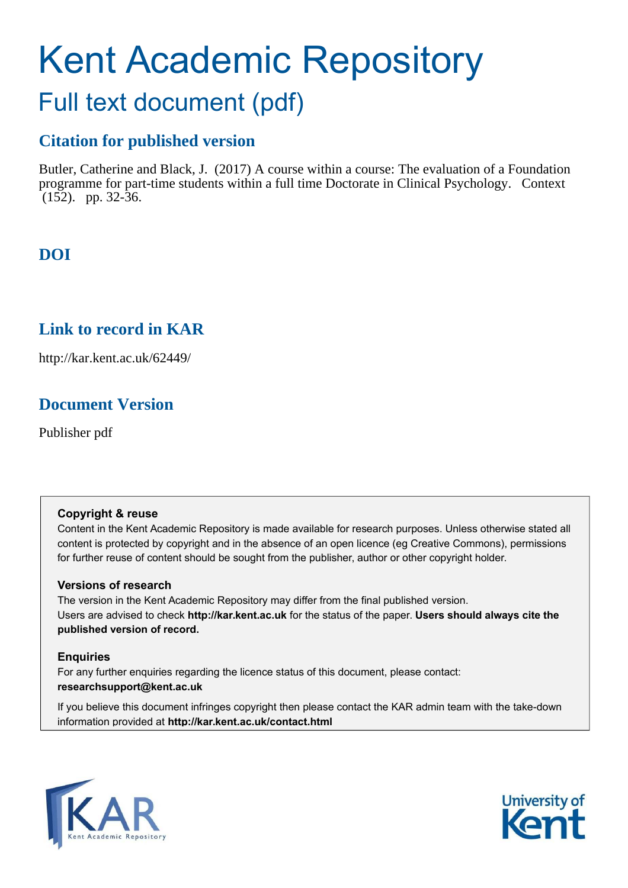# Kent Academic Repository

## Full text document (pdf)

## **Citation for published version**

Butler, Catherine and Black, J. (2017) A course within a course: The evaluation of a Foundation programme for part-time students within a full time Doctorate in Clinical Psychology. Context (152). pp. 32-36.

## **DOI**

## **Link to record in KAR**

http://kar.kent.ac.uk/62449/

## **Document Version**

Publisher pdf

#### **Copyright & reuse**

Content in the Kent Academic Repository is made available for research purposes. Unless otherwise stated all content is protected by copyright and in the absence of an open licence (eg Creative Commons), permissions for further reuse of content should be sought from the publisher, author or other copyright holder.

#### **Versions of research**

The version in the Kent Academic Repository may differ from the final published version. Users are advised to check **http://kar.kent.ac.uk** for the status of the paper. **Users should always cite the published version of record.**

#### **Enquiries**

For any further enquiries regarding the licence status of this document, please contact: **researchsupport@kent.ac.uk**

If you believe this document infringes copyright then please contact the KAR admin team with the take-down information provided at **http://kar.kent.ac.uk/contact.html**



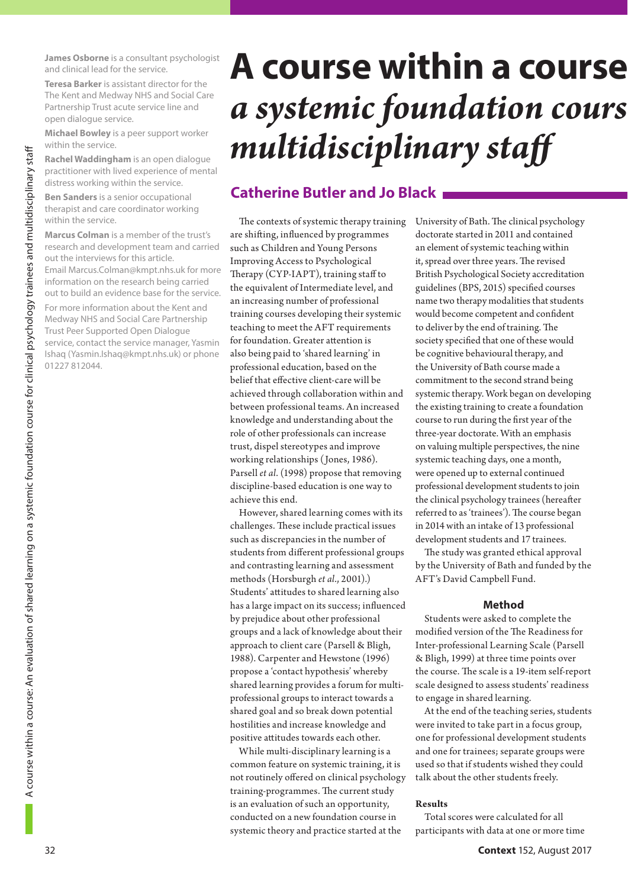**James Osborne** is a consultant psychologist and clinical lead for the service.

**Teresa Barker** is assistant director for the The Kent and Medway NHS and Social Care Partnership Trust acute service line and open dialogue service.

**Michael Bowley** is a peer support worker within the service.

**Rachel Waddingham** is an open dialogue practitioner with lived experience of mental distress working within the service.

**Ben Sanders** is a senior occupational therapist and care coordinator working within the service.

**Marcus Colman** is a member of the trust's research and development team and carried out the interviews for this article. Email Marcus.Colman@kmpt.nhs.uk for more information on the research being carried out to build an evidence base for the service.

For more information about the Kent and Medway NHS and Social Care Partnership Trust Peer Supported Open Dialogue service, contact the service manager, Yasmin Ishaq (Yasmin.Ishaq@kmpt.nhs.uk) or phone 01227 812044.

## **A course within a course** *a systemic foundation cours multidisciplinary staf*

### **Catherine Butler and Jo Black**

The contexts of systemic therapy training are shifting, influenced by programmes such as Children and Young Persons Improving Access to Psychological Therapy (CYP-IAPT), training staff to the equivalent of Intermediate level, and an increasing number of professional training courses developing their systemic teaching to meet the AFT requirements for foundation. Greater attention is also being paid to 'shared learning' in professional education, based on the belief that effective client-care will be achieved through collaboration within and between professional teams. An increased knowledge and understanding about the role of other professionals can increase trust, dispel stereotypes and improve working relationships (Jones, 1986). Parsell *et al*. (1998) propose that removing discipline-based education is one way to achieve this end.

However, shared learning comes with its challenges. These include practical issues such as discrepancies in the number of students from different professional groups and contrasting learning and assessment methods (Horsburgh *et al*., 2001).) Students' attitudes to shared learning also has a large impact on its success; influenced by prejudice about other professional groups and a lack of knowledge about their approach to client care (Parsell & Bligh, 1988). Carpenter and Hewstone (1996) propose a 'contact hypothesis' whereby shared learning provides a forum for multiprofessional groups to interact towards a shared goal and so break down potential hostilities and increase knowledge and positive attitudes towards each other.

While multi-disciplinary learning is a common feature on systemic training, it is not routinely offered on clinical psychology training-programmes. The current study is an evaluation of such an opportunity, conducted on a new foundation course in systemic theory and practice started at the

University of Bath. The clinical psychology doctorate started in 2011 and contained an element of systemic teaching within it, spread over three years. The revised British Psychological Society accreditation guidelines (BPS, 2015) specified courses name two therapy modalities that students would become competent and confident to deliver by the end of training. The society specified that one of these would be cognitive behavioural therapy, and the University of Bath course made a commitment to the second strand being systemic therapy. Work began on developing the existing training to create a foundation course to run during the first year of the three-year doctorate. With an emphasis on valuing multiple perspectives, the nine systemic teaching days, one a month, were opened up to external continued professional development students to join the clinical psychology trainees (hereafter referred to as 'trainees'). The course began in 2014 with an intake of 13 professional development students and 17 trainees.

The study was granted ethical approval by the University of Bath and funded by the AFT's David Campbell Fund.

#### **Method**

Students were asked to complete the modified version of the The Readiness for Inter-professional Learning Scale (Parsell & Bligh, 1999) at three time points over the course. The scale is a 19-item self-report scale designed to assess students' readiness to engage in shared learning.

At the end of the teaching series, students were invited to take part in a focus group, one for professional development students and one for trainees; separate groups were used so that if students wished they could talk about the other students freely.

#### **Results**

Total scores were calculated for all participants with data at one or more time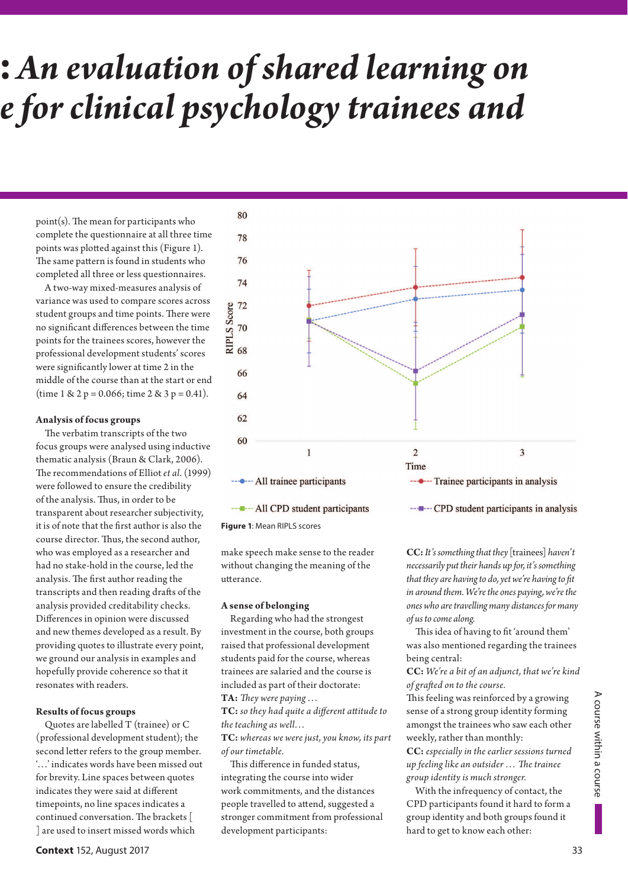## **:** *An evaluation of shared learning on e for clinical psychology trainees and*

 $point(s)$ . The mean for participants who complete the questionnaire at all three time points was plotted against this (Figure 1). The same pattern is found in students who completed all three or less questionnaires.

A two-way mixed-measures analysis of variance was used to compare scores across student groups and time points. There were no significant differences between the time points for the trainees scores, however the professional development students' scores were significantly lower at time 2 in the middle of the course than at the start or end (time  $1 \& 2 p = 0.066$ ; time  $2 \& 3 p = 0.41$ ).

#### **Analysis of focus groups**

The verbatim transcripts of the two focus groups were analysed using inductive thematic analysis (Braun & Clark, 2006). The recommendations of Elliot *et al.* (1999) were followed to ensure the credibility of the analysis. Thus, in order to be transparent about researcher subjectivity, it is of note that the first author is also the course director. Thus, the second author, who was employed as a researcher and had no stake-hold in the course, led the analysis. The first author reading the transcripts and then reading drafts of the analysis provided creditability checks. Differences in opinion were discussed and new themes developed as a result. By providing quotes to illustrate every point, we ground our analysis in examples and hopefully provide coherence so that it resonates with readers.

#### **Results of focus groups**

Quotes are labelled T (trainee) or C (professional development student); the second letter refers to the group member. '…' indicates words have been missed out for brevity. Line spaces between quotes indicates they were said at different timepoints, no line spaces indicates a continued conversation. The brackets [ ] are used to insert missed words which



------ All CPD student participants



make speech make sense to the reader without changing the meaning of the utterance.

#### **A sense of belonging**

Regarding who had the strongest investment in the course, both groups raised that professional development students paid for the course, whereas trainees are salaried and the course is included as part of their doctorate:

TA: They were paying ...

TC: so they had quite a different attitude to *the teaching as well…*

**TC:** *whereas we were just, you know, its part of our timetable.*

This difference in funded status, integrating the course into wider work commitments, and the distances people travelled to attend, suggested a stronger commitment from professional development participants:

**CC:***It's something that they* [trainees] *haven't necessarily put their hands up for, it's something that they are having to do, yet we're having to fit in around them. We're the ones paying, we're the ones who are travelling many distances for many of us to come along.*

This idea of having to fit 'around them' was also mentioned regarding the trainees being central:

**CC:** *We're a bit of an adjunct, that we're kind of grat ed on to the course.*

This feeling was reinforced by a growing sense of a strong group identity forming amongst the trainees who saw each other weekly, rather than monthly:

**CC:** *especially in the earlier sessions turned up feeling like an outsider ... The trainee group identity is much stronger.*

With the infrequency of contact, the CPD participants found it hard to form a group identity and both groups found it hard to get to know each other: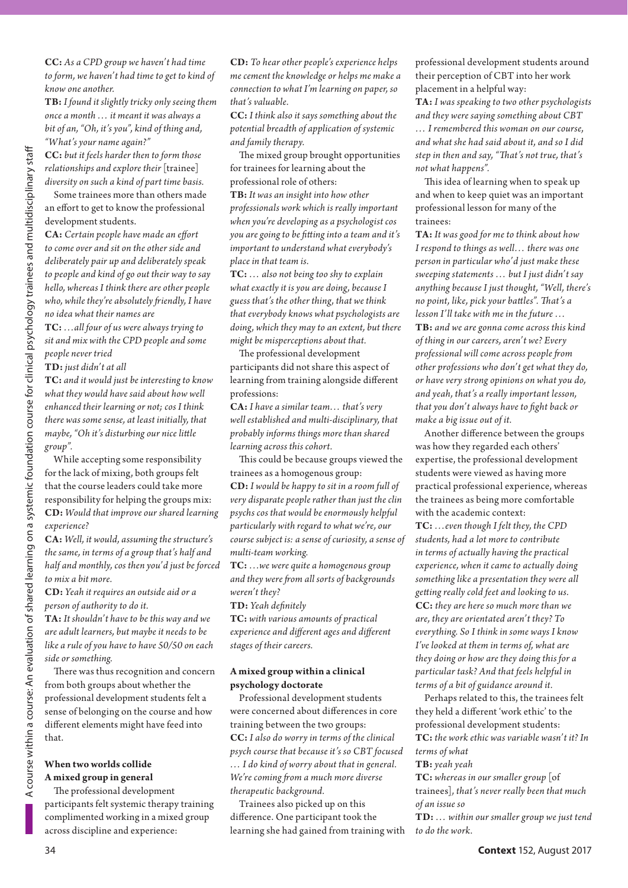**CC:** *As a CPD group we haven't had time to form, we haven't had time to get to kind of know one another.*

**TB:** *I found it slightly tricky only seeing them once a month … it meant it was always a bit of an, "Oh, it's you", kind of thing and, "What's your name again?"*

**CC:** *but it feels harder then to form those relationships and explore their* [trainee] *diversity on such a kind of part time basis.* 

Some trainees more than others made an effort to get to know the professional development students.

**CA:** Certain people have made an effort *to come over and sit on the other side and deliberately pair up and deliberately speak to people and kind of go out their way to say hello, whereas I think there are other people*  who, while they're absolutely friendly, I have *no idea what their names are*

**TC:** *…all four of us were always trying to sit and mix with the CPD people and some people never tried*

**TD:** *just didn't at all*

**TC:** *and it would just be interesting to know what they would have said about how well enhanced their learning or not; cos I think there was some sense, at least initially, that maybe, "Oh it's disturbing our nice little group".*

While accepting some responsibility for the lack of mixing, both groups felt that the course leaders could take more responsibility for helping the groups mix: **CD:** *Would that improve our shared learning experience?*

**CA:** *Well, it would, assuming the structure's the same, in terms of a group that's half and half and monthly, cos then you'd just be forced to mix a bit more.*

**CD:** *Yeah it requires an outside aid or a person of authority to do it.*

**TA:** *It shouldn't have to be this way and we are adult learners, but maybe it needs to be like a rule of you have to have 50/50 on each side or something.*

There was thus recognition and concern from both groups about whether the professional development students felt a sense of belonging on the course and how different elements might have feed into that.

#### **When two worlds collide A mixed group in general**

The professional development participants felt systemic therapy training complimented working in a mixed group across discipline and experience:

**CD:** *To hear other people's experience helps me cement the knowledge or helps me make a connection to what I'm learning on paper, so that's valuable.*

**CC:** *I think also it says something about the potential breadth of application of systemic and family therapy.*

The mixed group brought opportunities for trainees for learning about the professional role of others:

**TB:** *It was an insight into how other professionals work which is really important when you're developing as a psychologist cos you are going to be fitting into a team and it's important to understand what everybody's place in that team is.*

**TC:** *… also not being too shy to explain what exactly it is you are doing, because I guess that's the other thing, that we think that everybody knows what psychologists are doing, which they may to an extent, but there might be misperceptions about that.*

The professional development participants did not share this aspect of learning from training alongside different professions:

**CA:** *I have a similar team… that's very well established and multi-disciplinary, that probably informs things more than shared learning across this cohort.* 

This could be because groups viewed the trainees as a homogenous group:

**CD:** *I would be happy to sit in a room full of very disparate people rather than just the clin psychs cos that would be enormously helpful particularly with regard to what we're, our course subject is: a sense of curiosity, a sense of multi-team working.* 

**TC:** *…we were quite a homogenous group*  and they were from all sorts of backgrounds *weren't they?*

#### **TD:** *Yeah dei nitely*

**TC:** *with various amounts of practical experience and dif erent ages and dif erent stages of their careers.*

#### **A mixed group within a clinical psychology doctorate**

Professional development students were concerned about differences in core training between the two groups: **CC:** *I also do worry in terms of the clinical psych course that because it's so CBT focused … I do kind of worry about that in general. We're coming from a much more diverse therapeutic background.*

Trainees also picked up on this difference. One participant took the learning she had gained from training with professional development students around their perception of CBT into her work placement in a helpful way:

**TA:** *I was speaking to two other psychologists and they were saying something about CBT … I remembered this woman on our course, and what she had said about it, and so I did step in then and say, "h at's not true, that's not what happens".* 

This idea of learning when to speak up and when to keep quiet was an important professional lesson for many of the trainees:

**TA:** *It was good for me to think about how I respond to things as well… there was one person in particular who'd just make these sweeping statements … but I just didn't say anything because I just thought, "Well, there's no point, like, pick your battles". That's a lesson I'll take with me in the future …* **TB:** *and we are gonna come across this kind of thing in our careers, aren't we? Every professional will come across people from other professions who don't get what they do, or have very strong opinions on what you do, and yeah, that's a really important lesson, that you don't always have to i ght back or make a big issue out of it.*

Another difference between the groups was how they regarded each others' expertise, the professional development students were viewed as having more practical professional experience, whereas the trainees as being more comfortable with the academic context:

**TC:** *…even though I felt they, the CPD students, had a lot more to contribute in terms of actually having the practical experience, when it came to actually doing something like a presentation they were all get ing really cold feet and looking to us.*  **CC:** *they are here so much more than we are, they are orientated aren't they? To everything. So I think in some ways I know I've looked at them in terms of, what are they doing or how are they doing this for a particular task? And that feels helpful in terms of a bit of guidance around it.*

Perhaps related to this, the trainees felt they held a different 'work ethic' to the professional development students: **TC:** *the work ethic was variable wasn't it? In terms of what*

#### **TB:** *yeah yeah*

**TC:** *whereas in our smaller group* [of trainees]*, that's never really been that much of an issue so*

**TD:** *… within our smaller group we just tend to do the work.*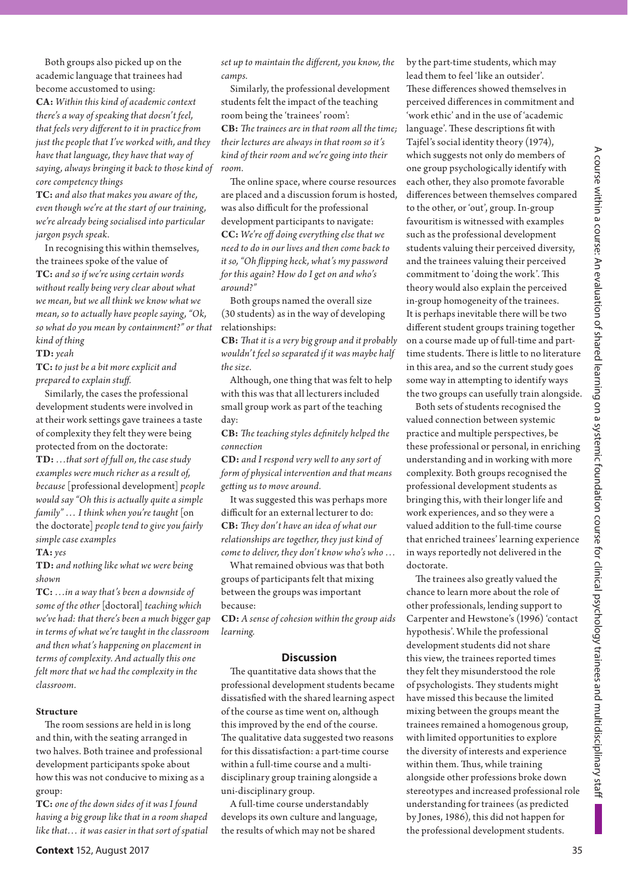Both groups also picked up on the academic language that trainees had become accustomed to using: **CA:** *Within this kind of academic context there's a way of speaking that doesn't feel, that feels very different to it in practice from just the people that I've worked with, and they have that language, they have that way of saying, always bringing it back to those kind of core competency things*

**TC:** *and also that makes you aware of the, even though we're at the start of our training, we're already being socialised into particular jargon psych speak.*

In recognising this within themselves, the trainees spoke of the value of **TC:** *and so if we're using certain words without really being very clear about what we mean, but we all think we know what we mean, so to actually have people saying, "Ok, so what do you mean by containment?" or that kind of thing*

**TD:***yeah*

**TC:** *to just be a bit more explicit and prepared to explain stuf .*

Similarly, the cases the professional development students were involved in at their work settings gave trainees a taste of complexity they felt they were being protected from on the doctorate: **TD:** *…that sort of full on, the case study examples were much richer as a result of, because* [professional development] *people would say "Oh this is actually quite a simple family" … I think when you're taught* [on the doctorate] *people tend to give you fairly simple case examples*

#### **TA:***yes*

**TD:** *and nothing like what we were being shown*

**TC:** *…in a way that's been a downside of some of the other* [doctoral] *teaching which we've had: that there's been a much bigger gap in terms of what we're taught in the classroom and then what's happening on placement in terms of complexity. And actually this one felt more that we had the complexity in the classroom.*

#### **Structure**

The room sessions are held in is long and thin, with the seating arranged in two halves. Both trainee and professional development participants spoke about how this was not conducive to mixing as a group:

**TC:** *one of the down sides of it was I found having a big group like that in a room shaped like that… it was easier in that sort of spatial* *set up to maintain the dif erent, you know, the camps.*

Similarly, the professional development students felt the impact of the teaching room being the 'trainees' room': **CB:** *h e trainees are in that room all the time; their lectures are always in that room so it's kind of their room and we're going into their room.* 

The online space, where course resources are placed and a discussion forum is hosted, was also difficult for the professional development participants to navigate: **CC:** *We're of doing everything else that we need to do in our lives and then come back to it so, "Oh l ipping heck, what's my password for this again? How do I get on and who's around?"*

Both groups named the overall size (30 students) as in the way of developing relationships:

**CB:** *h at it is a very big group and it probably wouldn't feel so separated if it was maybe half the size.*

Although, one thing that was felt to help with this was that all lecturers included small group work as part of the teaching day:

**CB:** The teaching styles definitely helped the *connection*

**CD:** *and I respond very well to any sort of form of physical intervention and that means get ing us to move around.*

It was suggested this was perhaps more difficult for an external lecturer to do: **CB:** *h ey don't have an idea of what our relationships are together, they just kind of come to deliver, they don't know who's who …*

What remained obvious was that both groups of participants felt that mixing between the groups was important because:

**CD:** *A sense of cohesion within the group aids learning.*

#### **Discussion**

The quantitative data shows that the professional development students became dissatisfied with the shared learning aspect of the course as time went on, although this improved by the end of the course. The qualitative data suggested two reasons for this dissatisfaction: a part-time course within a full-time course and a multidisciplinary group training alongside a uni-disciplinary group.

A full-time course understandably develops its own culture and language, the results of which may not be shared These differences showed themselves in perceived differences in commitment and 'work ethic' and in the use of 'academic language'. These descriptions fit with Tajfel's social identity theory (1974), which suggests not only do members of one group psychologically identify with each other, they also promote favorable differences between themselves compared to the other, or 'out', group. In-group favouritism is witnessed with examples such as the professional development students valuing their perceived diversity, and the trainees valuing their perceived commitment to 'doing the work'. This theory would also explain the perceived in-group homogeneity of the trainees. It is perhaps inevitable there will be two different student groups training together on a course made up of full-time and parttime students. There is little to no literature in this area, and so the current study goes some way in attempting to identify ways the two groups can usefully train alongside.

by the part-time students, which may lead them to feel 'like an outsider'.

Both sets of students recognised the valued connection between systemic practice and multiple perspectives, be these professional or personal, in enriching understanding and in working with more complexity. Both groups recognised the professional development students as bringing this, with their longer life and work experiences, and so they were a valued addition to the full-time course that enriched trainees' learning experience in ways reportedly not delivered in the doctorate.

The trainees also greatly valued the chance to learn more about the role of other professionals, lending support to Carpenter and Hewstone's (1996) 'contact hypothesis'. While the professional development students did not share this view, the trainees reported times they felt they misunderstood the role of psychologists. They students might have missed this because the limited mixing between the groups meant the trainees remained a homogenous group, with limited opportunities to explore the diversity of interests and experience within them. Thus, while training alongside other professions broke down stereotypes and increased professional role understanding for trainees (as predicted by Jones, 1986), this did not happen for the professional development students.